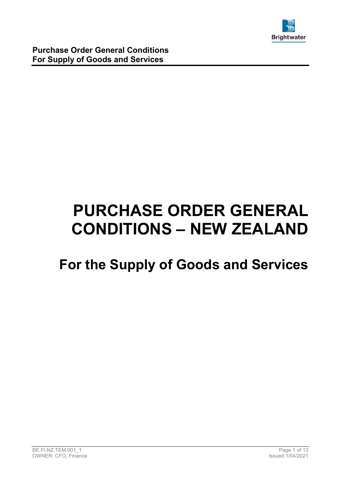

# PURCHASE ORDER GENERAL CONDITIONS – NEW ZEALAND

## For the Supply of Goods and Services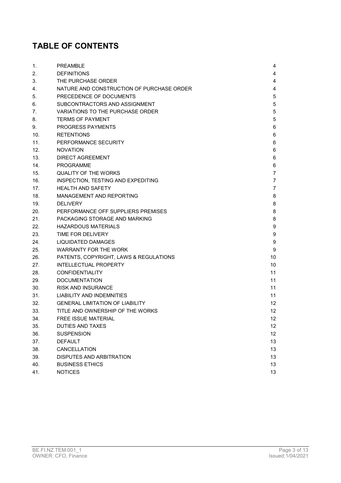### TABLE OF CONTENTS

| 1.  | <b>PREAMBLE</b>                           | 4              |
|-----|-------------------------------------------|----------------|
| 2.  | <b>DEFINITIONS</b>                        | 4              |
| 3.  | THE PURCHASE ORDER                        | 4              |
| 4.  | NATURE AND CONSTRUCTION OF PURCHASE ORDER | 4              |
| 5.  | PRECEDENCE OF DOCUMENTS                   | 5              |
| 6.  | SUBCONTRACTORS AND ASSIGNMENT             | 5              |
| 7.  | VARIATIONS TO THE PURCHASE ORDER          | 5              |
| 8.  | <b>TERMS OF PAYMENT</b>                   | 5              |
| 9.  | <b>PROGRESS PAYMENTS</b>                  | 6              |
| 10. | <b>RETENTIONS</b>                         | 6              |
| 11. | PERFORMANCE SECURITY                      | 6              |
| 12. | <b>NOVATION</b>                           | 6              |
| 13. | DIRECT AGREEMENT                          | 6              |
| 14. | <b>PROGRAMME</b>                          | 6              |
| 15. | <b>QUALITY OF THE WORKS</b>               | $\overline{7}$ |
| 16. | INSPECTION, TESTING AND EXPEDITING        | 7              |
| 17. | <b>HEALTH AND SAFETY</b>                  | 7              |
| 18. | MANAGEMENT AND REPORTING                  | 8              |
| 19. | <b>DELIVERY</b>                           | 8              |
| 20. | PERFORMANCE OFF SUPPLIERS PREMISES        | 8              |
| 21. | PACKAGING STORAGE AND MARKING             | 8              |
| 22. | <b>HAZARDOUS MATERIALS</b>                | 9              |
| 23. | TIME FOR DELIVERY                         | 9              |
| 24. | <b>LIQUIDATED DAMAGES</b>                 | 9              |
| 25. | <b>WARRANTY FOR THE WORK</b>              | 9              |
| 26. | PATENTS, COPYRIGHT, LAWS & REGULATIONS    | 10             |
| 27. | <b>INTELLECTUAL PROPERTY</b>              | 10             |
| 28. | <b>CONFIDENTIALITY</b>                    | 11             |
| 29. | <b>DOCUMENTATION</b>                      | 11             |
| 30. | <b>RISK AND INSURANCE</b>                 | 11             |
| 31. | LIABILITY AND INDEMNITIES                 | 11             |
| 32. | <b>GENERAL LIMITATION OF LIABILITY</b>    | 12             |
| 33. | TITLE AND OWNERSHIP OF THE WORKS          | 12             |
| 34. | <b>FREE ISSUE MATERIAL</b>                | 12             |
| 35. | <b>DUTIES AND TAXES</b>                   | 12             |
| 36. | <b>SUSPENSION</b>                         | 12             |
| 37. | <b>DEFAULT</b>                            | 13             |
| 38. | CANCELLATION                              | 13             |
| 39. | DISPUTES AND ARBITRATION                  | 13             |
| 40. | <b>BUSINESS ETHICS</b>                    | 13             |
| 41. | <b>NOTICES</b>                            | 13             |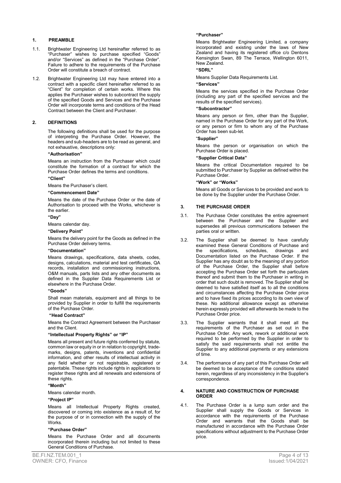#### 1. PREAMBLE

- 1.1. Brightwater Engineering Ltd hereinafter referred to as "Purchaser" wishes to purchase specified "Goods" and/or "Services" as defined in the "Purchase Order". Failure to adhere to the requirements of the Purchase Order will constitute a breach of contract.
- 1.2. Brightwater Engineering Ltd may have entered into a contract with a specific client hereinafter referred to as "Client" for completion of certain works. Where this applies the Purchaser wishes to subcontract the supply of the specified Goods and Services and the Purchase Order will incorporate terms and conditions of the Head Contract between the Client and Purchaser.

#### 2. DEFINITIONS

The following definitions shall be used for the purpose of interpreting the Purchase Order. However, the headers and sub-headers are to be read as general, and not exhaustive, descriptions only:

#### "Authorisation"

Means an instruction from the Purchaser which could constitute the formation of a contract for which the Purchase Order defines the terms and conditions.

#### "Client"

Means the Purchaser's client.

#### "Commencement Date"

Means the date of the Purchase Order or the date of Authorisation to proceed with the Works, whichever is the earlier.

#### "Day"

Means calendar day.

#### "Delivery Point"

Means the delivery point for the Goods as defined in the Purchase Order delivery terms.

#### "Documentation"

Means drawings, specifications, data sheets, codes, designs, calculations, material and test certificates, QA records, installation and commissioning instructions, O&M manuals, parts lists and any other documents as defined in the Supplier Data Requirements List or elsewhere in the Purchase Order.

#### "Goods"

Shall mean materials, equipment and all things to be provided by Supplier in order to fulfill the requirements of the Purchase Order.

#### "Head Contract"

Means the Contract Agreement between the Purchaser and the Client.

#### "Intellectual Property Rights" or "IP"

Means all present and future rights conferred by statute, common law or equity in or in relation to copyright, trademarks, designs, patents, inventions and confidential information, and other results of intellectual activity in any field whether or not registrable, registered or patentable. These rights include rights in applications to register these rights and all renewals and extensions of these rights.

#### "Month"

Means calendar month.

#### "Project IP"

Means all Intellectual Property Rights created, discovered or coming into existence as a result of, for the purpose of or in connection with the supply of the **Works** 

#### "Purchase Order"

 Means the Purchase Order and all documents incorporated therein including but not limited to these General Conditions of Purchase.

#### "Purchaser"

Means Brightwater Engineering Limited, a company incorporated and existing under the laws of New Zealand and having its registered office c/o Dentons Kensington Swan, 89 The Terrace, Wellington 6011, New Zealand.

#### "SDRL"

Means Supplier Data Requirements List.

#### "Services"

Means the services specified in the Purchase Order (including any part of the specified services and the results of the specified services).

#### "Subcontractor"

 Means any person or firm, other than the Supplier, named in the Purchase Order for any part of the Work, or any person or firm to whom any of the Purchase Order has been sub-let.

#### "Supplier"

 Means the person or organisation on which the Purchase Order is placed.

#### "Supplier Critical Data"

 Means the critical Documentation required to be submitted to Purchaser by Supplier as defined within the Purchase Order.

#### "Work" or "Works"

 Means all Goods or Services to be provided and work to be done by the Supplier under the Purchase Order.

#### 3. THE PURCHASE ORDER

- 3.1. The Purchase Order constitutes the entire agreement between the Purchaser and the Supplier and supersedes all previous communications between the parties oral or written.
- 3.2. The Supplier shall be deemed to have carefully examined these General Conditions of Purchase and<br>the specifications, schedules, drawings and the specifications, schedules, drawings Documentation listed on the Purchase Order. If the Supplier has any doubt as to the meaning of any portion of the Purchase Order, the Supplier shall before accepting the Purchase Order set forth the particulars thereof and submit them to the Purchaser in writing in order that such doubt is removed. The Supplier shall be deemed to have satisfied itself as to all the conditions and circumstances affecting the Purchase Order price and to have fixed its prices according to its own view of these. No additional allowance except as otherwise herein expressly provided will afterwards be made to the Purchase Order price.
- 3.3. The Supplier warrants that it shall meet all the requirements of the Purchaser as set out in the Purchase Order. Any work, rework or additional work required to be performed by the Supplier in order to satisfy the said requirements shall not entitle the Supplier to any additional payments or any extensions of time.
- 3.4. The performance of any part of this Purchase Order will be deemed to be acceptance of the conditions stated herein, regardless of any inconsistency in the Supplier's correspondence.

#### 4. NATURE AND CONSTRUCTION OF PURCHASE ORDER

4.1. The Purchase Order is a lump sum order and the Supplier shall supply the Goods or Services in accordance with the requirements of the Purchase Order and warrants that the Goods shall be manufactured in accordance with the Purchase Order specifications without adjustment to the Purchase Order price.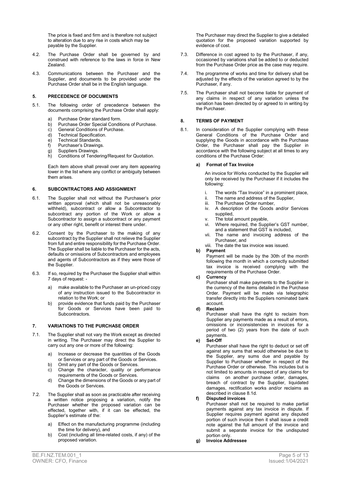The price is fixed and firm and is therefore not subject to alteration due to any rise in costs which may be payable by the Supplier.

- 4.2. The Purchase Order shall be governed by and construed with reference to the laws in force in New Zealand.
- 4.3. Communications between the Purchaser and the Supplier, and documents to be provided under the Purchase Order shall be in the English language.

#### 5. PRECEDENCE OF DOCUMENTS

- 5.1. The following order of precedence between the documents comprising the Purchase Order shall apply:
	-
	- a) Purchase Order standard form.<br>b) Purchase Order Special Condit b) Purchase Order Special Conditions of Purchase.
	- c) General Conditions of Purchase.
	- d) Technical Specification.
	- e) Technical Standards.
	- f) Purchaser's Drawings.
	- g) Suppliers Drawings.
	- h) Conditions of Tendering/Request for Quotation.

 Each item above shall prevail over any item appearing lower in the list where any conflict or ambiguity between them arises.

#### 6. SUBCONTRACTORS AND ASSIGNMENT

- 6.1. The Supplier shall not without the Purchaser's prior written approval (which shall not be unreasonably withheld), subcontract or allow a Subcontractor to subcontract any portion of the Work or allow a Subcontractor to assign a subcontract or any payment or any other right, benefit or interest there under.
- 6.2. Consent by the Purchaser to the making of any subcontract by the Supplier shall not relieve the Supplier from full and entire responsibility for the Purchase Order. The Supplier shall be liable to the Purchaser for the acts, defaults or omissions of Subcontractors and employees and agents of Subcontractors as if they were those of the Supplier.
- 6.3. If so, required by the Purchaser the Supplier shall within 7 days of request:
	- a) make available to the Purchaser an un-priced copy of any instruction issued to the Subcontractor in relation to the Work; or
	- b) provide evidence that funds paid by the Purchaser for Goods or Services have been paid to Subcontractors.

#### 7. VARIATIONS TO THE PURCHASE ORDER

- 7.1. The Supplier shall not vary the Work except as directed in writing. The Purchaser may direct the Supplier to carry out any one or more of the following:
	- a) Increase or decrease the quantities of the Goods or Services or any part of the Goods or Services.
	- b) Omit any part of the Goods or Services.
	- c) Change the character, quality or performance requirements of the Goods or Services.
	- d) Change the dimensions of the Goods or any part of the Goods or Services.
- 7.2. The Supplier shall as soon as practicable after receiving a written notice proposing a variation, notify the Purchaser whether the proposed variation can be effected, together with, if it can be effected, the Supplier's estimate of the:
	- a) Effect on the manufacturing programme (including the time for delivery), and
	- b) Cost (including all time-related costs, if any) of the proposed variation.

 The Purchaser may direct the Supplier to give a detailed quotation for the proposed variation supported by evidence of cost.

- 7.3. Difference in cost agreed to by the Purchaser, if any, occasioned by variations shall be added to or deducted from the Purchase Order price as the case may require.
- 7.4. The programme of works and time for delivery shall be adjusted by the effects of the variation agreed to by the Purchaser, if any.
- 7.5. The Purchaser shall not become liable for payment of any claims in respect of any variation unless the variation has been directed by or agreed to in writing by the Purchaser.

#### 8. TERMS OF PAYMENT

8.1. In consideration of the Supplier complying with these General Conditions of the Purchase Order and supplying the Goods in accordance with the Purchase Order, the Purchaser shall pay the Supplier in accordance with the following subject at all times to any conditions of the Purchase Order:

#### a) Format of Tax Invoice

An invoice for Works conducted by the Supplier will only be received by the Purchaser if it includes the following:

- i. The words "Tax Invoice" in a prominent place,<br>ii. The name and address of the Supplier.
- ii. The name and address of the Supplier,<br>iii. The Purchase Order number,
- The Purchase Order number,
- iv. A description of the Goods and/or Services supplied,
- 
- v. The total amount payable,<br>vi. Where required, the Supr Where required, the Supplier's GST number, and a statement that GST is included,
- vii. The name and invoicing address of the Purchaser, and
- viii. The date the tax invoice was issued.
- b) Payment

Payment will be made by the 30th of the month following the month in which a correctly submitted tax invoice is received complying with the requirements of the Purchase Order.

#### c) Currency

Purchaser shall make payments to the Supplier in the currency of the items detailed in the Purchase Order. Payment will be made via telegraphic transfer directly into the Suppliers nominated bank account.

#### d) Reclaim

Purchaser shall have the right to reclaim from Supplier any payments made as a result of errors, omissions or inconsistencies in invoices for a period of two (2) years from the date of such .<br>payments.

e) Set-Off

Purchaser shall have the right to deduct or set off against any sums that would otherwise be due to the Supplier, any sums due and payable by Supplier to Purchaser whether in respect of the Purchase Order or otherwise. This includes but is not limited to amounts in respect of any claims for claims on another purchase order, damages, breach of contract by the Supplier, liquidated damages, rectification works and/or reclaims as described in clause 8.1d.

f) Disputed invoices

Purchaser shall not be required to make partial payments against any tax invoice in dispute. If Supplier requires payment against any disputed portion of such invoice then it shall issue a credit note against the full amount of the invoice and submit a separate invoice for the undisputed portion only.

g) Invoice Addressee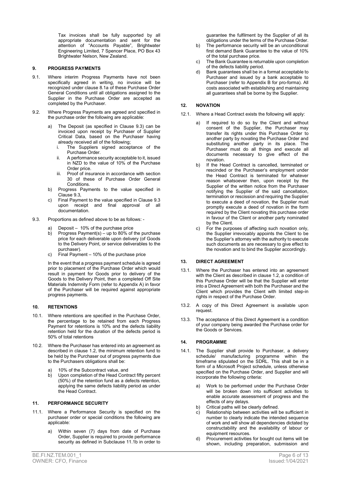Tax invoices shall be fully supported by all appropriate documentation and sent for the attention of "Accounts Payable", Brightwater Engineering Limited, 7 Spencer Place, PO Box 43 Brightwater Nelson, New Zealand.

#### 9. PROGRESS PAYMENTS

- 9.1. Where interim Progress Payments have not been specifically agreed in writing, no invoice will be recognized under clause 8.1a of these Purchase Order General Conditions until all obligations assigned to the Supplier in the Purchase Order are accepted as completed by the Purchaser.
- 9.2. Where Progress Payments are agreed and specified in the purchase order the following are applicable:
	- a) The Deposit (as specified in Clause 9.3) can be invoiced upon receipt by Purchaser of Supplier Critical Data, based on the Purchaser having already received all of the following;<br>i. The Suppliers signed accep
		- The Suppliers signed acceptance of the Purchase Order.
		- ii. A performance security acceptable to it, issued in NZD to the value of 10% of the Purchase Order price
		- Proof of insurance in accordance with section 30 of these of Purchase Order General **Conditions**
	- b) Progress Payments to the value specified in Clause 9.3,
	- c) Final Payment to the value specified in Clause 9.3 upon receipt and final approval of all documentation.
- 9.3. Proportions as defined above to be as follows:
	- Deposit 10% of the purchase price
	- b) Progress Payment(s) up to 80% of the purchase price for each deliverable upon delivery (of Goods to the Delivery Point, or service deliverables to the purchaser).
	- c) Final Payment  $-10\%$  of the purchase price

In the event that a progress payment schedule is agreed prior to placement of the Purchase Order which would result in payment for Goods prior to delivery of the Goods to the Delivery Point, then a completed Off Site Materials Indemnity Form (refer to Appendix A) in favor of the Purchaser will be required against appropriate progress payments.

#### 10. RETENTIONS

- 10.1. Where retentions are specified in the Purchase Order, the percentage to be retained from each Progress Payment for retentions is 10% and the defects liability retention held for the duration of the defects period is 50% of total retentions
- 10.2. Where the Purchaser has entered into an agreement as described in clause 1.2, the minimum retention fund to be held by the Purchaser out of progress payments due to the Purchasers obligations shall be:
	- a) 10% of the Subcontract value, and
	- b) Upon completion of the Head Contract fifty percent (50%) of the retention fund as a defects retention, applying the same defects liability period as under the Head Contract.

#### 11. PERFORMANCE SECURITY

- 11.1. Where a Performance Security is specified on the purchaser order or special conditions the following are applicable:
	- a) Within seven (7) days from date of Purchase Order, Supplier is required to provide performance security as defined in Subclause 11.1b in order to

guarantee the fulfilment by the Supplier of all its obligations under the terms of the Purchase Order.

- b) The performance security will be an unconditional first demand Bank Guarantee to the value of 10% of the total purchase price.
- c) The Bank Guarantee is returnable upon completion of the defects liability period.
- d) Bank guarantees shall be in a format acceptable to Purchaser and issued by a bank acceptable to Purchaser (refer to Appendix B for pro-forma). All costs associated with establishing and maintaining all guarantees shall be borne by the Supplier.

#### 12. NOVATION

- 12.1. Where a Head Contract exists the following will apply:
	- a) If required to do so by the Client and without consent of the Supplier, the Purchaser may transfer its rights under this Purchase Order to another party by novating the Purchase Order and substituting another party in its place. The Purchaser must do all things and execute all documents necessary to give effect of the novation.
	- b) If the Head Contract is cancelled, terminated or rescinded or the Purchaser's employment under the Head Contract is terminated for whatever reason whatsoever then, upon receipt by the Supplier of the written notice from the Purchaser notifying the Supplier of the said cancellation, termination or rescission and requiring the Supplier to execute a deed of novation, the Supplier must promptly execute a deed of novation in the form required by the Client novating this purchase order in favour of the Client or another party nominated by the Client.
	- c) For the purposes of affecting such novation only, the Supplier irrevocably appoints the Client to be the Supplier's attorney with the authority to execute such documents as are necessary to give effect to the novation and to bind the Supplier accordingly.

#### 13. DIRECT AGREEMENT

- 13.1. Where the Purchaser has entered into an agreement with the Client as described in clause 1.2, a condition of this Purchase Order will be that the Supplier will enter into a Direct Agreement with both the Purchaser and the Client which provides the Client with limited step-in rights in respect of the Purchase Order.
- 13.2. A copy of this Direct Agreement is available upon request.
- 13.3. The acceptance of this Direct Agreement is a condition of your company being awarded the Purchase order for the Goods or Services.

#### 14. PROGRAMME

- 14.1. The Supplier shall provide to Purchaser, a delivery schedule/ manufacturing programme within the timeframe stipulated on the SDRL. This shall be in a form of a Microsoft Project schedule, unless otherwise specified on the Purchase Order, and Supplier and will incorporate the following criteria:
	- Work to be performed under the Purchase Order will be broken down into sufficient activities to enable accurate assessment of progress and the effects of any delays.
	- b) Critical paths will be clearly defined.
	- c) Relationship between activities will be sufficient in number to clearly indicate the intended sequence of work and will show all dependencies dictated by constructability and the availability of labour or equipment resources.
	- d) Procurement activities for bought out items will be shown, including preparation, submission and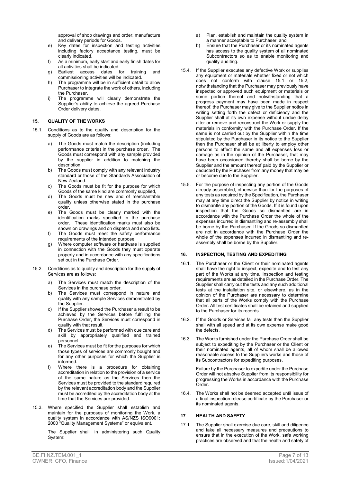approval of shop drawings and order, manufacture and delivery periods for Goods.

- e) Key dates for inspection and testing activities including factory acceptance testing, must be clearly indicated.
- f) As a minimum, early start and early finish dates for all activities shall be indicated.
- g) Earliest access dates for training and commissioning activities will be indicated.
- h) The programme will be in sufficient detail to allow Purchaser to integrate the work of others, including the Purchaser.
- i) The programme will clearly demonstrate the Supplier's ability to achieve the agreed Purchase Order delivery dates.

#### 15. QUALITY OF THE WORKS

- 15.1. Conditions as to the quality and description for the supply of Goods are as follows:
	- a) The Goods must match the description (including performance criteria) in the purchase order. The Goods must correspond with any sample provided by the supplier in addition to matching the description.
	- b) The Goods must comply with any relevant industry standard or those of the Standards Association of New Zealand.
	- c) The Goods must be fit for the purpose for which Goods of the same kind are commonly supplied,
	- d) The Goods must be new and of merchantable quality unless otherwise stated in the purchase order.
	- e) The Goods must be clearly marked with the identification marks specified in the purchase order. These identification marks must also be shown on drawings and on dispatch and shop lists.
	- f) The Goods must meet the safety performance requirements of the intended purpose.
	- g) Where computer software or hardware is supplied in connection with the Goods they must operate properly and in accordance with any specifications set out in the Purchase Order.
- 15.2. Conditions as to quality and description for the supply of Services are as follows:
	- a) The Services must match the description of the Services in the purchase order.
	- b) The Services must correspond in nature and quality with any sample Services demonstrated by the Supplier.
	- c) If the Supplier showed the Purchaser a result to be achieved by the Services before fulfilling the Purchase Order, the Services must correspond in quality with that result.
	- d) The Services must be performed with due care and skill by appropriately qualified and trained personnel.
	- e) The Services must be fit for the purposes for which those types of services are commonly bought and for any other purposes for which the Supplier is informed.
	- f) Where there is a procedure for obtaining accreditation in relation to the provision of a service of the same nature as the Services then the Services must be provided to the standard required by the relevant accreditation body and the Supplier must be accredited by the accreditation body at the time that the Services are provided.
- 15.3. Where specified the Supplier shall establish and maintain for the purposes of monitoring the Work, a quality system in accordance with AS/NZS ISO9001: 2000 "Quality Management Systems" or equivalent.

The Supplier shall, in administering such Quality System:

- a) Plan, establish and maintain the quality system in a manner acceptable to Purchaser, and
- b) Ensure that the Purchaser or its nominated agents has access to the quality system of all nominated Subcontractors so as to enable monitoring and quality auditing.
- 15.4. If the Supplier executes any defective Work or supplies any equipment or materials whether fixed or not which does not conform with clause 15.1 or 15.2, notwithstanding that the Purchaser may previously have inspected or approved such equipment or materials or some portion thereof and notwithstanding that a progress payment may have been made in respect thereof, the Purchaser may give to the Supplier notice in writing setting forth the defect or deficiency and the Supplier shall at its own expense without undue delay alter or remove and reconstruct the Work or supply the materials in conformity with the Purchase Order. If the same is not carried out by the Supplier within the time stipulated by the Purchaser in its notice to the Supplier then the Purchaser shall be at liberty to employ other persons to effect the same and all expenses loss or damage as in the opinion of the Purchaser, that may have been occasioned thereby shall be borne by the Supplier and the amount thereof paid by the Supplier or deducted by the Purchaser from any money that may be or become due to the Supplier.
- 15.5. For the purpose of inspecting any portion of the Goods already assembled, otherwise than for the purposes of any tests as required by the Specification, the Purchaser may at any time direct the Supplier by notice in writing to dismantle any portion of the Goods. If it is found upon inspection that the Goods so dismantled are in accordance with the Purchase Order the whole of the expenses incurred in dismantling and re-assembly shall be borne by the Purchaser. If the Goods so dismantled are not in accordance with the Purchase Order the whole of the expenses incurred in dismantling and reassembly shall be borne by the Supplier.

#### 16. INSPECTION, TESTING AND EXPEDITING

- 16.1. The Purchaser or the Client or their nominated agents shall have the right to inspect, expedite and to test any part of the Works at any time. Inspection and testing requirements are as detailed in the Purchase Order. The Supplier shall carry out the tests and any such additional tests at the installation site, or elsewhere, as in the opinion of the Purchaser are necessary to determine that all parts of the Works comply with the Purchase Order. All test certificates shall be retained and supplied to the Purchaser for its records.
- 16.2. If the Goods or Services fail any tests then the Supplier shall with all speed and at its own expense make good the defects.
- 16.3. The Works furnished under the Purchase Order shall be subject to expediting by the Purchaser or the Client or their nominated agents, all of whom shall be allowed reasonable access to the Suppliers works and those of its Subcontractors for expediting purposes.

Failure by the Purchaser to expedite under the Purchase Order will not absolve Supplier from its responsibility for progressing the Works in accordance with the Purchase Order.

16.4. The Works shall not be deemed accepted until issue of a final inspection release certificate by the Purchaser or its nominated agents.

#### 17 HEALTH AND SAFFTY

17.1. The Supplier shall exercise due care, skill and diligence and take all necessary measures and precautions to ensure that in the execution of the Work, safe working practices are observed and that the health and safety of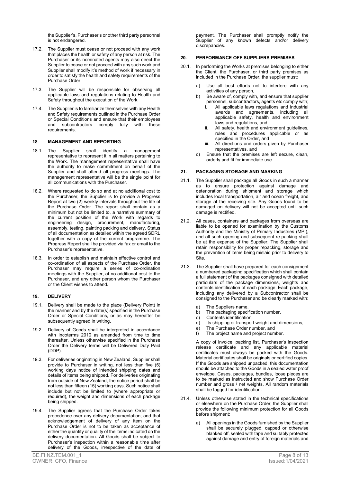the Supplier's, Purchaser's or other third party personnel is not endangered.

- 17.2. The Supplier must cease or not proceed with any work that places the health or safety of any person at risk. The Purchaser or its nominated agents may also direct the Supplier to cease or not proceed with any such work and Supplier shall modify it's method of work if necessary in order to satisfy the health and safety requirements of the Purchase Order.
- 17.3. The Supplier will be responsible for observing all applicable laws and regulations relating to Health and Safety throughout the execution of the Work.
- 17.4. The Supplier is to familiarize themselves with any Health and Safety requirements outlined in the Purchase Order or Special Conditions and ensure that their employees and subcontractors comply fully with these requirements.

#### 18. MANAGEMENT AND REPORTING

- 18.1. The Supplier shall identify a management representative to represent it in all matters pertaining to the Work. The management representative shall have the authority to make commitment on behalf of the Supplier and shall attend all progress meetings. The management representative will be the single point for all communications with the Purchaser.
- 18.2. Where requested to do so and at no additional cost to the Purchaser, the Supplier is to provide a Progress Report at two (2) weekly intervals throughout the life of the Purchase Order. The report shall contain as a minimum but not be limited to, a narrative summary of the current position of the Work with regards to engineering design, procurement, manufacturing, assembly, testing, painting packing and delivery. Status of all documentation as detailed within the agreed SDRL together with a copy of the current programme. The Progress Report shall be provided via fax or email to the Purchaser's representative.
- 18.3. In order to establish and maintain effective control and co-ordination of all aspects of the Purchase Order, the Purchaser may require a series of co-ordination meetings with the Supplier, at no additional cost to the Purchaser, and any other person whom the Purchaser or the Client wishes to attend.

#### 19. DELIVERY

- 19.1. Delivery shall be made to the place (Delivery Point) in the manner and by the date(s) specified in the Purchase Order or Special Conditions, or as may hereafter be subsequently agreed in writing.
- 19.2. Delivery of Goods shall be interpreted in accordance with Incoterms 2010 as amended from time to time thereafter. Unless otherwise specified in the Purchase Order the Delivery terms will be Delivered Duty Paid (DDP).
- 19.3. For deliveries originating in New Zealand, Supplier shall provide to Purchaser in writing, not less than five (5) working days notice of intended shipping dates and details of items being shipped. For deliveries originating from outside of New Zealand, the notice period shall be not less than fifteen (15) working days. Such notice shall include but not be limited to (where appropriate or required), the weight and dimensions of each package being shipped.
- 19.4. The Supplier agrees that the Purchase Order takes precedence over any delivery documentation; and that acknowledgement of delivery of any item on the Purchase Order is not to be taken as acceptance of either the quantity or quality of the items indicated on the delivery documentation. All Goods shall be subject to Purchaser's inspection within a reasonable time after delivery of the Goods, irrespective of the date of

payment. The Purchaser shall promptly notify the Supplier of any known defects and/or delivery discrepancies.

#### 20. PERFORMANCE OFF SUPPLIERS PREMISES

- 20.1. In performing the Works at premises belonging to either the Client, the Purchaser, or third party premises as included in the Purchase Order, the supplier must:
	- a) Use all best efforts not to interfere with any activities of any person,
	- b) Be aware of, comply with, and ensure that supplier personnel, subcontractors, agents etc comply with;
		- All applicable laws regulations and industrial awards and agreements, including all applicable safety, health and environment laws and regulations, and
		- ii. All safety, health and environment guidelines, rules and procedures applicable or as specified in the Order, and
		- iii. All directions and orders given by Purchaser representatives, and
	- c) Ensure that the premises are left secure, clean, orderly and fit for immediate use.

#### 21. PACKAGING STORAGE AND MARKING

- 21.1. The Supplier shall package all Goods in such a manner as to ensure protection against damage and deterioration during shipment and storage which includes local transportation, air and ocean freight, and storage at the receiving site. Any Goods found to be damaged on delivery will not be accepted until such damage is rectified.
- 21.2. All cases, containers and packages from overseas are liable to be opened for examination by the Customs Authority and the Ministry of Primary Industries (MPI), and all such opening and subsequent re-packing shall be at the expense of the Supplier. The Supplier shall retain responsibility for proper repacking, storage and the prevention of items being mislaid prior to delivery to Site.
- 21.3. The Supplier shall have prepared for each consignment a numbered packaging specification which shall contain a full statement of the packages consigned with detailed particulars of the package dimensions, weights and contents identification of each package. Each package, including any delivered by a Subcontractor shall be consigned to the Purchaser and be clearly marked with:
	- a) The Suppliers name,
	- b) The packaging specification number,
	- c) Contents identification,
	- d) Its shipping or transport weight and dimensions,
	- e) The Purchase Order number, and
	- The project name and project number.

 A copy of invoice, packing list, Purchaser's inspection release certificate and any applicable material certificates must always be packed with the Goods. Material certificates shall be originals or certified copies. If the Goods are shipped unpacked, this documentation should be attached to the Goods in a sealed water proof envelope. Cases, packages, bundles, loose pieces are to be marked as instructed and show Purchase Order number and gross / net weights. All random materials shall be tagged for identification.

- 21.4. Unless otherwise stated in the technical specifications or elsewhere on the Purchase Order, the Supplier shall provide the following minimum protection for all Goods before shipment:
	- All openings in the Goods furnished by the Supplier shall be securely plugged, capped or otherwise blanked off, sealed with tape and suitably protected against damage and entry of foreign materials and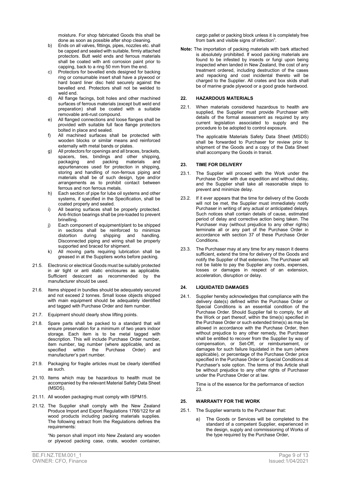moisture. For shop fabricated Goods this shall be done as soon as possible after shop cleaning.

- b) Ends on all valves, fittings, pipes, nozzles etc. shall be capped and sealed with suitable, firmly attached protectors. Butt weld ends and ferrous materials shall be coated with anti corrosion paint prior to capping, back to a ring 50 mm from the end.
- c) Protectors for bevelled ends designed for backing ring or consumable insert shall have a plywood or hard board liner disc held securely against the bevelled end. Protectors shall not be welded to weld end.
- d) All flange facings, bolt holes and other machined surfaces of ferrous materials (except butt weld end preparation) shall be coated with a suitable removable anti-rust compound.
- e) All flanged connections and loose flanges shall be provided with suitable full face flange protectors bolted in place and sealed.
- f) All machined surfaces shall be protected with wooden blocks or similar means and reinforced externally with metal bands or plates.
- g) All protectors for openings and all braces, brackets, spacers, ties, bindings and other shipping, packaging and packing materials and appurtenances used for protection in shipping, storing and handling of non-ferrous piping and materials shall be of such design, type and/or arrangements as to prohibit contact between ferrous and non ferrous metals.
- h) Each section of pipe for lube oil systems and other systems, if specified in the Specification, shall be coated properly and sealed.
- i) All bearing surfaces shall be properly protected. Anti-friction bearings shall be pre-loaded to prevent brinelling.
- j) Each component of equipment/plant to be shipped in sections shall be reinforced to minimize distortion during shipping and handling. Disconnected piping and wiring shall be properly supported and braced for shipment.
- k) All moving parts requiring lubrication shall be greased in at the Suppliers works before packing.
- 21.5. Electronic or electrical Goods must be suitably protected in air tight or anti static enclosures as applicable. Sufficient desiccant as recommended by the manufacturer should be used.
- 21.6. Items shipped in bundles should be adequately secured and not exceed 2 tonnes. Small loose objects shipped with main equipment should be adequately identified and tagged with Purchase Order and item number.
- 21.7. Equipment should clearly show lifting points.
- 21.8. Spare parts shall be packed to a standard that will ensure preservation for a minimum of two years indoor storage. Each item is to be metal tagged with description. This will include Purchase Order number, item number, tag number (where applicable, and as<br>specified within the Purchase Order) and within the Purchase Order) and manufacturer's part number.
- 21.9. Packaging for fragile articles must be clearly identified as such.
- 21.10. Items which may be hazardous to health must be accompanied by the relevant Material Safety Data Sheet (MSDS).
- 21.11. All wooden packaging must comply with ISPM15.
- 21.12. The Supplier shall comply with the New Zealand Produce Import and Export Regulations 1766/122 for all wood products including packing materials supplies. The following extract from the Regulations defines the requirements:

"No person shall import into New Zealand any wooden or plywood packing case, crate, wooden container,

cargo pallet or packing block unless it is completely free from bark and visible signs of infection".

Note: The importation of packing materials with bark attached is absolutely prohibited. If wood packing materials are found to be infested by insects or fungi upon being inspected when landed in New Zealand, the cost of any treatment ordered, including destruction of the cases and repacking and cost incidental thereto will be charged to the Supplier. All crates and box skids shall be of marine grade plywood or a good grade hardwood.

#### 22. HAZARDOUS MATERIALS

22.1. When materials considered hazardous to health are supplied, the Supplier must provide Purchaser with details of the formal assessment as required by any current legislation associated to supply and the procedure to be adopted to control exposure.

> The applicable Materials Safety Data Sheet (MSDS) shall be forwarded to Purchaser for review prior to shipment of the Goods and a copy of the Data Sheet shall accompany the Goods in transit.

#### 23. TIME FOR DELIVERY

- 23.1. The Supplier will proceed with the Work under the Purchase Order with due expedition and without delay, and the Supplier shall take all reasonable steps to prevent and minimize delay.
- 23.2. If it ever appears that the time for delivery of the Goods will not be met, the Supplier must immediately notify Purchaser in writing of any actual or anticipated delays. Such notices shall contain details of cause, estimated period of delay and corrective action being taken. The Purchaser may (without prejudice to any other rights) terminate all or any part of the Purchase Order in accordance with section 37 of these Purchase Order Conditions.
- 23.3. The Purchaser may at any time for any reason it deems sufficient, extend the time for delivery of the Goods and notify the Supplier of that extension. The Purchaser will not be liable to pay the Supplier any costs, expenses, losses or damages in respect of an extension, acceleration, disruption or delay.

#### 24. LIQUIDATED DAMAGES

24.1. Supplier hereby acknowledges that compliance with the delivery date(s) defined within the Purchase Order or Special Conditions is an essential condition of the Purchase Order. Should Supplier fail to comply, for all the Work or part thereof, within the time(s) specified in the Purchase Order or such extended time(s) as may be allowed in accordance with the Purchase Order, then without prejudice to any other remedy, the Purchaser shall be entitled to recover from the Supplier by way of compensation, or Set-Off, or reimbursement, or damages for such failure liquidated in the sum (where applicable), or percentage of the Purchase Order price specified in the Purchase Order or Special Conditions at Purchaser's sole option. The terms of this Article shall be without prejudice to any other rights of Purchaser under the Purchase Order or at law.

> Time is of the essence for the performance of section 23.

#### 25. WARRANTY FOR THE WORK

- 25.1. The Supplier warrants to the Purchaser that:
	- a) The Goods or Services will be completed to the standard of a competent Supplier, experienced in the design, supply and commissioning of Works of the type required by the Purchase Order,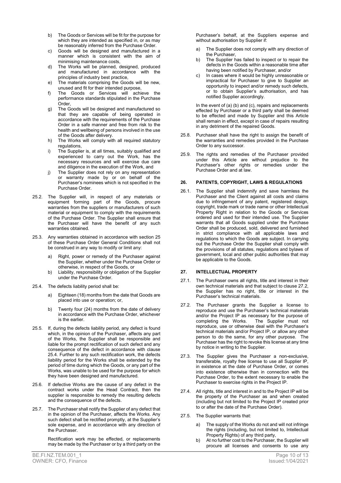- b) The Goods or Services will be fit for the purpose for which they are intended as specified in, or as may be reasonably inferred from the Purchase Order.
- c) Goods will be designed and manufactured in a manner which is consistent with the aim of minimising maintenance costs,
- d) The Works will be planned, designed, produced and manufactured in accordance with the principles of industry best practice,
- e) The materials comprising the Goods will be new, unused and fit for their intended purpose,
- f) The Goods or Services will achieve the performance standards stipulated in the Purchase Order,
- g) The Goods will be designed and manufactured so that they are capable of being operated in accordance with the requirements of the Purchase Order in a safe manner and free from risk to the health and wellbeing of persons involved in the use of the Goods after delivery.
- h) The Works will comply with all required statutory regulations,
- i) The Supplier is, at all times, suitably qualified and experienced to carry out the Work, has the necessary resources and will exercise due care and diligence in the execution of the Work, and
- j) The Supplier does not rely on any representation or warranty made by or on behalf of the Purchaser's nominees which is not specified in the Purchase Order.
- 25.2. The Supplier will, in respect of any materials or equipment forming part of the Goods, procure warranties from the suppliers or manufacturers of such material or equipment to comply with the requirements of the Purchase Order. The Supplier shall ensure that the Purchaser will have the benefit of any such warranties obtained.
- 25.3. Any warranties obtained in accordance with section 25 of these Purchase Order General Conditions shall not be construed in any way to modify or limit any:
	- a) Right, power or remedy of the Purchaser against the Supplier, whether under the Purchase Order or otherwise, in respect of the Goods, or
	- b) Liability, responsibility or obligation of the Supplier under the Purchase Order.
- 25.4. The defects liability period shall be:
	- a) Eighteen (18) months from the date that Goods are placed into use or operation; or,
	- b) Twenty four (24) months from the date of delivery in accordance with the Purchase Order, whichever is the earlier.
- 25.5. If, during the defects liability period, any defect is found which, in the opinion of the Purchaser, affects any part of the Works, the Supplier shall be responsible and liable for the prompt rectification of such defect and any consequence of the defect in accordance with clause 25.4. Further to any such rectification work, the defects liability period for the Works shall be extended by the period of time during which the Goods, or any part of the Works, was unable to be used for the purpose for which they have been designed and manufactured.
- 25.6. If defective Works are the cause of any defect in the contract works under the Head Contract, then the supplier is responsible to remedy the resulting defects and the consequence of the defects.
- 25.7. The Purchaser shall notify the Supplier of any defect that in the opinion of the Purchaser, affects the Works. Any such defect shall be rectified promptly, at the Supplier's sole expense, and in accordance with any direction of the Purchaser.

Rectification work may be effected, or replacements may be made by the Purchaser or by a third party on the

Purchaser's behalf, at the Suppliers expense and without authorisation by Supplier if:

- a) The Supplier does not comply with any direction of the Purchaser,
- b) The Supplier has failed to inspect or to repair the defects in the Goods within a reasonable time after having been notified by Purchaser, and/or
- In cases where it would be highly unreasonable or impractical for Purchaser to give to Supplier an opportunity to inspect and/or remedy such defects, or to obtain Supplier's authorisation, and has notified Supplier accordingly.

 In the event of (a) (b) and (c), repairs and replacements effected by Purchaser or a third party shall be deemed to be effected and made by Supplier and this Article shall remain in effect, except in case of repairs resulting in any detriment of the repaired Goods.

- 25.8. Purchaser shall have the right to assign the benefit of the warranties and remedies provided in the Purchase Order to any successor.
- 25.9. The rights and remedies of the Purchaser provided under this Article are without prejudice to the Purchaser's other rights or remedies under the Purchase Order and at law.

#### 26. PATENTS, COPYRIGHT, LAWS & REGULATIONS

26.1. The Supplier shall indemnify and save harmless the Purchaser and the Client against all costs and claims due to infringement of any patent, registered design, copyright, trade mark or trade name or other Intellectual Property Right in relation to the Goods or Services ordered and used for their intended use. The Supplier warrants that all Goods supplied under the Purchase Order shall be produced, sold, delivered and furnished in strict compliance with all applicable laws and regulations to which the Goods are subject. In carrying out the Purchase Order the Supplier shall comply with the provisions of all statutes, regulations and bylaws of government, local and other public authorities that may be applicable to the Goods.

#### 27. INTELLECTUAL PROPERTY

- 27.1. The Purchaser owns all rights, title and interest in their own technical materials and that subject to clause 27.2, the Supplier has no right, title or interest in the Purchaser's technical materials.
- 27.2. The Purchaser grants the Supplier a license to reproduce and use the Purchaser's technical materials and/or the Project IP as necessary for the purpose of completing the Works. The Supplier must not reproduce, use or otherwise deal with the Purchaser's technical materials and/or Project IP, or allow any other person to do the same, for any other purpose. The Purchaser has the right to revoke this license at any time by notice in writing to the Supplier.
- 27.3. The Supplier gives the Purchaser a non-exclusive, transferable, royalty free license to use all Supplier IP, in existence at the date of Purchase Order, or comes into existence otherwise than in connection with the Purchase Order, to the extent necessary to enable the Purchaser to exercise rights in the Project IP.
- 27.4. All rights, title and interest in and to the Project IP will be the property of the Purchaser as and when created (including but not limited to the Project IP created prior to or after the date of the Purchase Order).
- 27.5. The Supplier warrants that:
	- The supply of the Works do not and will not infringe the rights (including, but not limited to, Intellectual Property Rights) of any third party,
	- b) At no further cost to the Purchaser, the Supplier will procure all licenses and consents to use any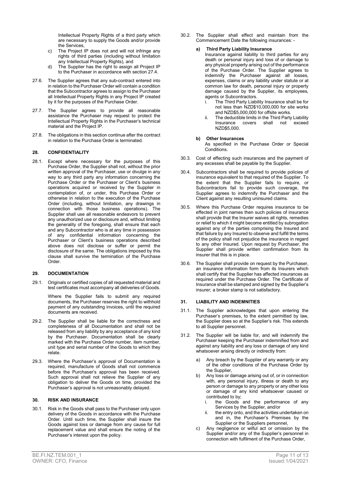Intellectual Property Rights of a third party which are necessary to supply the Goods and/or provide the Services,

- c) The Project IP does not and will not infringe any rights of third parties (including without limitation any Intellectual Property Rights), and
- d) The Supplier has the right to assign all Project IP to the Purchaser in accordance with section 27.4.
- 27.6. The Supplier agrees that any sub-contract entered into in relation to the Purchaser Order will contain a condition that the Subcontractor agrees to assign to the Purchaser all Intellectual Property Rights in any Project IP created by it for the purposes of the Purchase Order.
- 27.7. The Supplier agrees to provide all reasonable assistance the Purchaser may request to protect the Intellectual Property Rights in the Purchaser's technical material and the Project IP.
- 27.8. The obligations in this section continue after the contract in relation to the Purchase Order is terminated.

#### 28. CONFIDENTIALITY

28.1. Except where necessary for the purposes of this Purchase Order, the Supplier shall not, without the prior written approval of the Purchaser, use or divulge in any way to any third party any information concerning the Purchase Order or the Purchaser or Client's business operations acquired or received by the Supplier in contemplation of, or under, this Purchase Order or otherwise in relation to the execution of the Purchase Order (including, without limitation, any drawings in connection with those business operations). The Supplier shall use all reasonable endeavors to prevent any unauthorized use or disclosure and, without limiting the generality of the foregoing, shall ensure that each and any Subcontractor who is at any time in possession of any confidential information concerning the Purchaser or Client's business operations described above does not disclose or suffer or permit the disclosure of the same. The obligations imposed by this clause shall survive the termination of the Purchase Order.

#### 29. DOCUMENTATION

29.1. Originals or certified copies of all requested material and test certificates must accompany all deliveries of Goods.

> Where the Supplier fails to submit any required documents, the Purchaser reserves the right to withhold payment of any outstanding invoices, until the required documents are received.

- 29.2. The Supplier shall be liable for the correctness and completeness of all Documentation and shall not be released from any liability by any acceptance of any kind by the Purchaser. Documentation shall be clearly marked with the Purchase Order number, item number, unit type and serial number of the Goods to which they relate.
- 29.3. Where the Purchaser's approval of Documentation is required, manufacture of Goods shall not commence before the Purchaser's approval has been received. Such approval shall not relieve the Supplier of any obligation to deliver the Goods on time, provided the Purchaser's approval is not unreasonably delayed.

#### 30. RISK AND INSURANCE

30.1. Risk in the Goods shall pass to the Purchaser only upon delivery of the Goods in accordance with the Purchase Order. Until such time, the Supplier shall insure the Goods against loss or damage from any cause for full replacement value and shall ensure the noting of the Purchaser's interest upon the policy.

30.2. The Supplier shall effect and maintain from the Commencement Date the following insurances: -

#### a) Third Party Liability Insurance

Insurance against liability to third parties for any death or personal injury and loss of or damage to any physical property arising out of the performance of the Purchase Order. The Supplier agrees to indemnify the Purchaser against all losses, expenses, claims or any liability under statute or at common law for death, personal injury or property damage caused by the Supplier, its employees, agents or Subcontractors.

- i. The Third Party Liability Insurance shall be for not less than NZD\$10,000,000 for site works and NZD\$5,000,000 for offsite works.
- ii. The deductible limits in the Third Party Liability Insurance covers shall not exceed NZD\$5,000.

#### b) Other Insurances

As specified in the Purchase Order or Special Conditions.

- 30.3. Cost of effecting such insurances and the payment of any excesses shall be payable by the Supplier.
- 30.4. Subcontractors shall be required to provide policies of insurance equivalent to that required of the Supplier. To the extent that the Supplier fails to require, or Subcontractors fail to provide such coverage, the Supplier agrees to indemnify the Purchaser and the Client against any resulting uninsured claims.
- 30.5. Where this Purchase Order requires insurance to be effected in joint names then such policies of insurance shall provide that the Insurer waives all rights, remedies or relief to which it might become entitled by subrogation against any of the parties comprising the Insured and that failure by any Insured to observe and fulfill the terms of the policy shall not prejudice the insurance in regard to any other Insured. Upon request by Purchaser, the Supplier shall provide written confirmation from its insurer that this is in place.
- 30.6. The Supplier shall provide on request by the Purchaser, an insurance information form from its Insurers which shall certify that the Supplier has affected insurances as required under the Purchase Order. The Certificate of Insurance shall be stamped and signed by the Supplier's insurer; a broker stamp is not satisfactory.

#### 31. LIABILITY AND INDEMNITIES

- 31.1. The Supplier acknowledges that upon entering the Purchaser's premises, to the extent permitted by law, the Supplier does so at the Supplier's risk. This extends to all Supplier personnel.
- 31.2. The Supplier will be liable for, and will indemnify the Purchaser keeping the Purchaser indemnified from and against any liability and any loss or damage of any kind whatsoever arising directly or indirectly from:
	- a) Any breach by the Supplier of any warranty or any of the other conditions of the Purchase Order by the Supplier,
	- b) Any loss or damage arising out of, or in connection with, any personal injury, illness or death to any person or damage to any property or any other loss or damage of any kind whatsoever caused or contributed to by;
		- i. the Goods and the performance of any Services by the Supplier, and/or
		- ii. the entry onto, and the activities undertaken on and in, the Purchaser's Premises by the Supplier or the Suppliers personnel,
	- c) Any negligence or wilful act or omission by the Supplier and/or any of the Supplier's personnel in connection with fulfilment of the Purchase Order,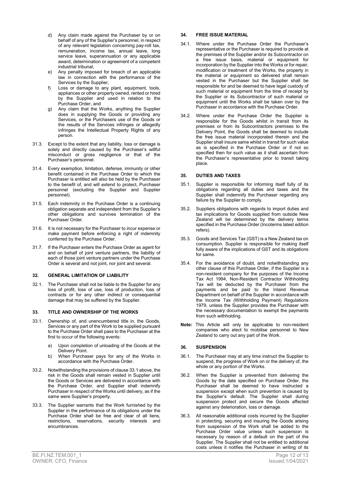- d) Any claim made against the Purchaser by or on behalf of any of the Supplier's personnel, in respect of any relevant legislation concerning pay-roll tax, remuneration, income tax, annual leave, long service leave, superannuation or any applicable award, determination or agreement of a competent industrial tribunal,
- e) Any penalty imposed for breach of an applicable law in connection with the performance of the Services by the Supplier,
- f) Loss or damage to any plant, equipment, tools, appliances or other property owned, rented or hired by the Supplier and used in relation to the Purchase Order, and
- g) Any claim that the Works, anything the Supplier does in supplying the Goods or providing any Services, or the Purchasers use of the Goods or the results of the Services infringes or allegedly infringes the Intellectual Property Rights of any person.
- 31.3. Except to the extent that any liability, loss or damage is solely and directly caused by the Purchaser's willful misconduct or gross negligence or that of the Purchaser's personnel.
- 31.4. Every exemption, limitation, defense, immunity or other benefit contained in the Purchase Order to which the Purchaser is entitled will also be held by the Purchaser to the benefit of, and will extend to protect, Purchaser personnel (excluding the Supplier and Supplier personnel).
- 31.5. Each indemnity in the Purchase Order is a continuing obligation separate and independent from the Supplier's other obligations and survives termination of the Purchaser Order.
- 31.6. It is not necessary for the Purchaser to incur expense or make payment before enforcing a right of indemnity conferred by the Purchase Order.
- 31.7. If the Purchaser enters the Purchase Order as agent for and on behalf of joint venture partners, the liability of each of those joint venture partners under the Purchase Order is several and not joint, nor joint and several.

#### 32. GENERAL LIMITATION OF LIABILITY

32.1. The Purchaser shall not be liable to the Supplier for any loss of profit, loss of use, loss of production, loss of contracts or for any other indirect or consequential damage that may be suffered by the Supplier.

#### 33. TITLE AND OWNERSHIP OF THE WORKS

- 33.1. Ownership of, and unencumbered title in, the Goods, Services or any part of the Work to be supplied pursuant to the Purchase Order shall pass to the Purchaser at the first to occur of the following events:
	- a) Upon completion of unloading of the Goods at the Delivery Point.
	- b) When Purchaser pays for any of the Works in accordance with the Purchase Order.
- 33.2. Notwithstanding the provisions of clause 33.1 above, the risk in the Goods shall remain vested in Supplier until the Goods or Services are delivered in accordance with the Purchase Order, and Supplier shall indemnify Purchaser in respect of the Works until delivery, as if the same were Supplier's property.
- 33.3. The Supplier warrants that the Work furnished by the Supplier in the performance of its obligations under the Purchase Order shall be free and clear of all liens, restrictions, reservations, security interests and encumbrances.

#### 34. FREE ISSUE MATERIAL

- 34.1. Where under the Purchase Order the Purchaser's representative or the Purchaser is required to provide at the premises of the Supplier and/or its Subcontractor on a free issue basis, material or equipment for incorporation by the Supplier into the Works or for repair, modification or treatment of the Works, the property in the material or equipment so delivered shall remain vested in the Purchaser but the Supplier shall be responsible for and be deemed to have legal custody of such material or equipment from the time of receipt by the Supplier or its Subcontractor of such material or equipment until the Works shall be taken over by the Purchaser in accordance with the Purchase Order.
- 34.2. Where under the Purchase Order the Supplier is responsible for the Goods whilst in transit from its premises or from its Subcontractors premises to the Delivery Point, the Goods shall be deemed to include the free issue material incorporated therein and the Supplier shall insure same whilst in transit for such value as is specified in the Purchase Order or if not so specified then for such value as it shall ascertain from the Purchaser's representative prior to transit taking place.

#### 35. DUTIES AND TAXES

- 35.1. Supplier is responsible for informing itself fully of its obligations regarding all duties and taxes and the Supplier shall indemnify the Purchaser regarding any failure by the Supplier to comply.
- 35.2. Suppliers obligations with regards to import duties and tax implications for Goods supplied from outside New Zealand will be determined by the delivery terms specified in the Purchase Order (Incoterms latest edition refers).
- 35.3. Goods and Services Tax (GST) is a New Zealand tax on consumption. Supplier is responsible for making itself fully aware of the implications of GST and its obligations for same.
- 35.4. For the avoidance of doubt, and notwithstanding any other clause of this Purchase Order, if the Supplier is a non-resident company for the purposes of the Income Tax Act 1994, Non-Resident Contractor Withholding Tax will be deducted by the Purchaser from the payments and be paid to the Inland Revenue Department on behalf of the Supplier in accordance with the Income Tax (Withholding Payment) Regulations 1979, unless the Supplier provides the Purchaser with the necessary documentation to exempt the payments from such withholding.
- Note: This Article will only be applicable to non-resident companies who elect to mobilise personnel to New Zealand to carry out any part of the Work.

#### 36. SUSPENSION

- 36.1. The Purchaser may at any time instruct the Supplier to suspend, the progress of Work on or the delivery of, the whole or any portion of the Works.
- 36.2. When the Supplier is prevented from delivering the Goods by the date specified on Purchase Order, the Purchaser shall be deemed to have instructed a suspension except when such prevention is caused by the Supplier's default. The Supplier shall during suspension protect and secure the Goods affected against any deterioration, loss or damage.
- 36.3. All reasonable additional costs incurred by the Supplier in protecting, securing and insuring the Goods arising from suspension of the Work shall be added to the Purchase Order value unless such suspension is necessary by reason of a default on the part of the Supplier. The Supplier shall not be entitled to additional costs unless it notifies the Purchaser in writing of its